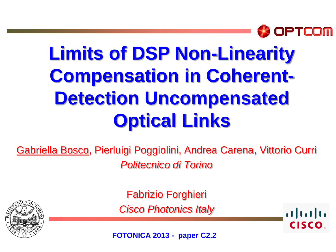

# **Limits of DSP Non-Linearity Compensation in Coherent-Detection Uncompensated Optical Links**

Gabriella Bosco, Pierluigi Poggiolini, Andrea Carena, Vittorio Curri *Politecnico di Torino*



Fabrizio Forghieri *Cisco Photonics Italy*

 $\frac{1}{2}$ **CISCO** 

**FOTONICA 2013 - paper C2.2**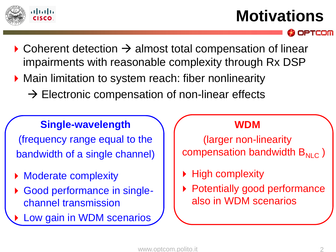

### **Motivations**

PTCOM

- $\triangleright$  Coherent detection  $\rightarrow$  almost total compensation of linear impairments with reasonable complexity through Rx DSP
- ▶ Main limitation to system reach: fiber nonlinearity
	- $\rightarrow$  Electronic compensation of non-linear effects

#### **Single-wavelength**

(frequency range equal to the bandwidth of a single channel)

- Moderate complexity
- Good performance in singlechannel transmission
- Low gain in WDM scenarios

#### **WDM**

(larger non-linearity compensation bandwidth  $B_{NLC}$ )

- High complexity
- Potentially good performance also in WDM scenarios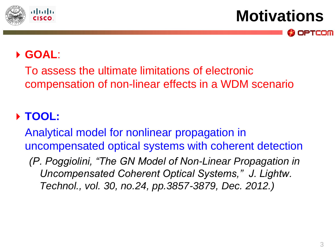

**Motivations**

OPTCOM

#### **GOAL**:

To assess the ultimate limitations of electronic compensation of non-linear effects in a WDM scenario

### **TOOL:**

Analytical model for nonlinear propagation in uncompensated optical systems with coherent detection

*(P. Poggiolini, "The GN Model of Non-Linear Propagation in Uncompensated Coherent Optical Systems," J. Lightw. Technol., vol. 30, no.24, pp.3857-3879, Dec. 2012.)*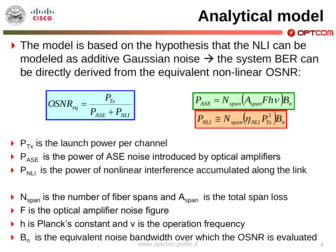

## **Analytical model**

**OPTCOM** 

▶ The model is based on the hypothesis that the NLI can be modeled as additive Gaussian noise  $\rightarrow$  the system BER can be directly derived from the equivalent non-linear OSNR:

$$
OSNR_{eq} = \frac{P_{Tx}}{P_{ASE} + P_{NLI}}
$$

$$
P_{ASE} = N_{span}(A_{span}F h v)B_n
$$

$$
P_{NLI} \cong N_{span}(\eta_{NLI} P_{Tx}^3)B_n
$$

- $\triangleright$  P<sub>Tx</sub> is the launch power per channel
- $P_{ASE}$  is the power of ASE noise introduced by optical amplifiers
- $\triangleright$   $P_{N+1}$  is the power of nonlinear interference accumulated along the link
- $N_{\text{span}}$  is the number of fiber spans and  $A_{\text{span}}$  is the total span loss
- F is the optical amplifier noise figure
- h is Planck's constant and v is the operation frequency
- $\triangleright$  B<sub>n</sub> is the equivalent noise bandwidth over which the OSNR is evaluated www.optcom.polito.it 4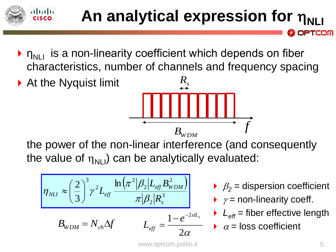#### atnatn **An analytical expression for**  $\eta_{\text{N}}$ PTCOM

- $\triangleright$   $n_{\text{N}}$  is a non-linearity coefficient which depends on fiber characteristics, number of channels and frequency spacing
- ▶ At the Nyquist limit *f*  $B$ <sup>*WDM*</sup>

the power of the non-linear interference (and consequently the value of  $\eta_{\text{NIL}}$ ) can be analytically evaluated:

$$
\eta_{NL} \approx \left(\frac{2}{3}\right)^3 \gamma^2 L_{eff} \frac{\ln \left(\pi^2 |\beta_2| L_{eff} B_{WDM}^2\right)}{\pi |\beta_2| R_s^3}
$$

$$
B_{WDM} = N_{ch} \Delta f \qquad L_{eff} = \frac{1 - e^{-2\alpha L_s}}{2\alpha}
$$

- $\beta_2$  = dispersion coefficient
- $\rightarrow$   $\gamma$  = non-linearity coeff.
- $\blacktriangleright$   $L_{\text{eff}}$  = fiber effective length
- $\alpha$  = loss coefficient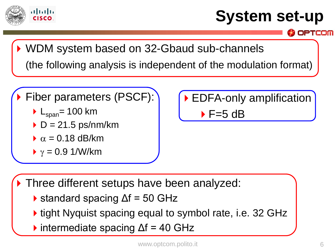

### **System set-up**

OPTCOM

WDM system based on 32-Gbaud sub-channels (the following analysis is independent of the modulation format)

Fiber parameters (PSCF):

- $L_{\text{span}}$ = 100 km
- $\triangleright$  D = 21.5 ps/nm/km
- $\alpha$  = 0.18 dB/km
- $\gamma = 0.9$  1/W/km

EDFA-only amplification  $\blacktriangleright$  F=5 dB

Three different setups have been analyzed:

- $\triangleright$  standard spacing  $\Delta f = 50$  GHz
- **If** tight Nyquist spacing equal to symbol rate, i.e. 32 GHz
- $\blacktriangleright$  intermediate spacing  $\Delta f = 40$  GHz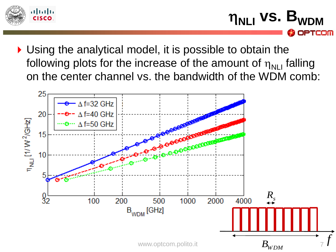

- **n<sub>NLI</sub>** vs. B<sub>WDM</sub> OPTCOM
- ▶ Using the analytical model, it is possible to obtain the following plots for the increase of the amount of  $\eta_{\text{N}}$  falling on the center channel vs. the bandwidth of the WDM comb:

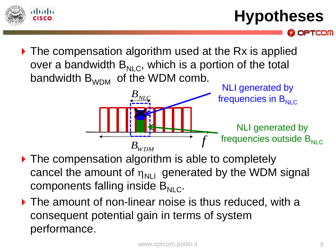

**Hypotheses**

PTCOM

▶ The compensation algorithm used at the Rx is applied over a bandwidth  $B_{NIC}$ , which is a portion of the total bandwidth  $B_{WDM}$  of the WDM comb.



- ▶ The compensation algorithm is able to completely cancel the amount of  $\eta_{\text{NIL}}$  generated by the WDM signal components falling inside  $B_{NIC}$ .
- ▶ The amount of non-linear noise is thus reduced, with a consequent potential gain in terms of system performance.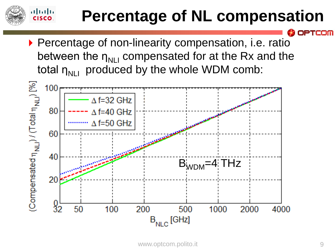### **Percentage of NL compensation**

▶ Percentage of non-linearity compensation, i.e. ratio between the  $\eta_{NII}$  compensated for at the Rx and the total  $\eta_{NII}$  produced by the whole WDM comb:

 $\mathbf{d}$ CISCO.



PTCOM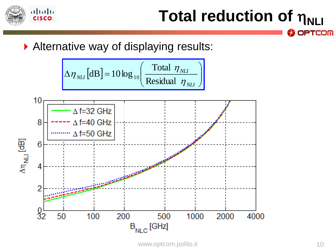

### **Total reduction of**  $η_{NLI}$ **OPTCOM**

Alternative way of displaying results:

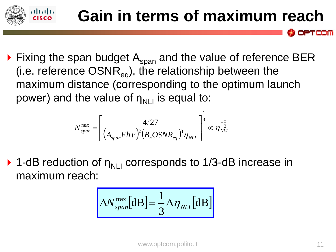

**Gain in terms of maximum reach**

$$
{N}^{\max}_{span} = \left[ \frac{4/27}{(A_{span}F h \nu)^2 (B_n O S N R_{eq})^3 \eta_{_{NLI}}} \right]^{\frac{1}{3}} \propto \eta_{_{NLI}}^{-\frac{1}{3}}
$$

. 11 . . . 1 . .

 $\triangleright$  1-dB reduction of  $\eta_{\text{NLL}}$  corresponds to 1/3-dB increase in maximum reach:  $(A_{span}Fh\nu)^2(B_nOSNR_{eq})^i\eta_{_{NLI}}$   $\int$   $\int$   $\int$   $\int$   $\eta_{NL}$  corresponds to 1/3-dB increase in  $\Delta N_{span}^{\max}[\text{dB}]=\frac{1}{3}\Delta\eta_{_{NLI}}[\text{dB}]$ 

$$
\Delta N_{span}^{max}[dB] = \frac{1}{3} \Delta \eta_{NLI}[dB]
$$

**OPTCOM**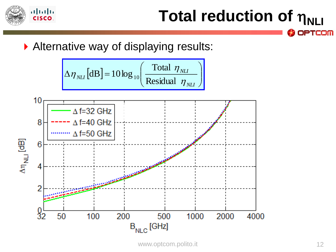

### **Total reduction of**  $η_{NLI}$ **OPTCOM**

Alternative way of displaying results:

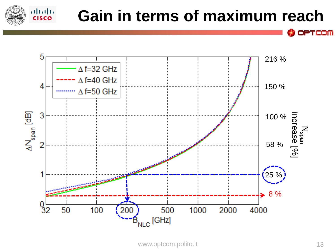



 $\frac{1}{2}$ 

**OPTCOM**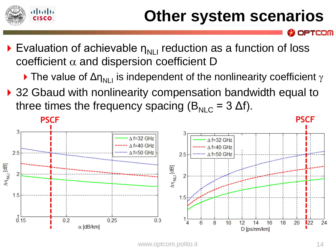

### **Other system scenarios**

- Evaluation of achievable  $\eta_{\text{N}}$  reduction as a function of loss coefficient  $\alpha$  and dispersion coefficient D
	- The value of  $\Delta \eta_{NII}$  is independent of the nonlinearity coefficient  $\gamma$
- ▶ 32 Gbaud with nonlinearity compensation bandwidth equal to three times the frequency spacing ( $B_{NIC}$  = 3  $\Delta f$ ).



TCOM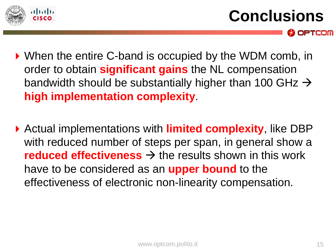

**Conclusions**

OPTCOM

- ▶ When the entire C-band is occupied by the WDM comb, in order to obtain **significant gains** the NL compensation bandwidth should be substantially higher than 100 GHz  $\rightarrow$ **high implementation complexity**.
- Actual implementations with **limited complexity**, like DBP with reduced number of steps per span, in general show a **reduced effectiveness**  $\rightarrow$  the results shown in this work have to be considered as an **upper bound** to the effectiveness of electronic non-linearity compensation.